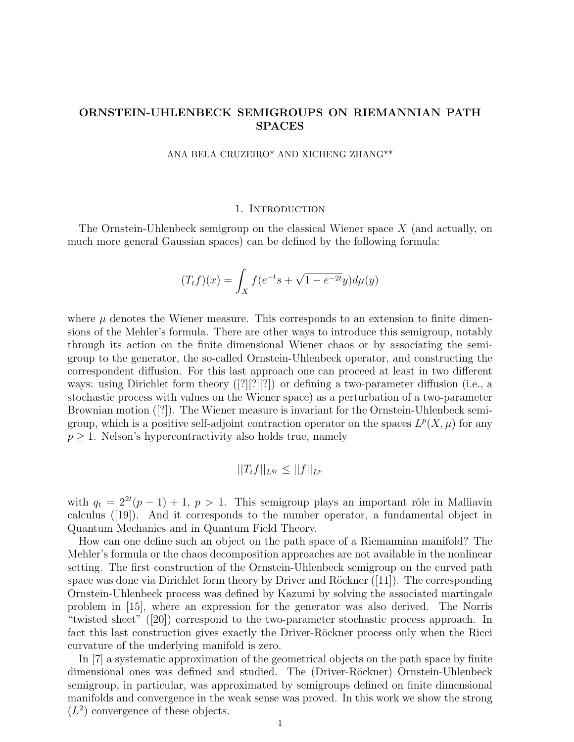# ORNSTEIN-UHLENBECK SEMIGROUPS ON RIEMANNIAN PATH SPACES

ANA BELA CRUZEIRO\* AND XICHENG ZHANG\*\*

## 1. INTRODUCTION

The Ornstein-Uhlenbeck semigroup on the classical Wiener space  $X$  (and actually, on much more general Gaussian spaces) can be defined by the following formula:

$$
(T_t f)(x) = \int_X f(e^{-t}s + \sqrt{1 - e^{-2t}}y) d\mu(y)
$$

where  $\mu$  denotes the Wiener measure. This corresponds to an extension to finite dimensions of the Mehler's formula. There are other ways to introduce this semigroup, notably through its action on the finite dimensional Wiener chaos or by associating the semigroup to the generator, the so-called Ornstein-Uhlenbeck operator, and constructing the correspondent diffusion. For this last approach one can proceed at least in two different ways: using Dirichlet form theory ([?][?][?]) or defining a two-parameter diffusion (i.e., a stochastic process with values on the Wiener space) as a perturbation of a two-parameter Brownian motion ([?]). The Wiener measure is invariant for the Ornstein-Uhlenbeck semigroup, which is a positive self-adjoint contraction operator on the spaces  $L^p(X, \mu)$  for any  $p \geq 1$ . Nelson's hypercontractivity also holds true, namely

$$
||T_t f||_{L^{q_t}} \leq ||f||_{L^p}
$$

with  $q_t = 2^{2t}(p-1) + 1$ ,  $p > 1$ . This semigroup plays an important rôle in Malliavin calculus ([19]). And it corresponds to the number operator, a fundamental object in Quantum Mechanics and in Quantum Field Theory.

How can one define such an object on the path space of a Riemannian manifold? The Mehler's formula or the chaos decomposition approaches are not available in the nonlinear setting. The first construction of the Ornstein-Uhlenbeck semigroup on the curved path space was done via Dirichlet form theory by Driver and Röckner  $(|11|)$ . The corresponding Ornstein-Uhlenbeck process was defined by Kazumi by solving the associated martingale problem in [15], where an expression for the generator was also derived. The Norris "twisted sheet" ([20]) correspond to the two-parameter stochastic process approach. In fact this last construction gives exactly the Driver-Röckner process only when the Ricci curvature of the underlying manifold is zero.

In [7] a systematic approximation of the geometrical objects on the path space by finite dimensional ones was defined and studied. The (Driver-Röckner) Ornstein-Uhlenbeck semigroup, in particular, was approximated by semigroups defined on finite dimensional manifolds and convergence in the weak sense was proved. In this work we show the strong  $(L<sup>2</sup>)$  convergence of these objects.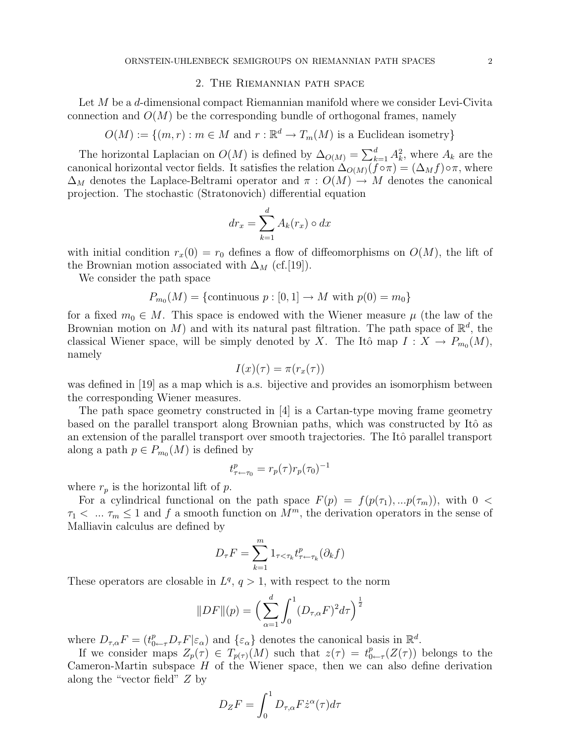# 2. The Riemannian path space

Let M be a d-dimensional compact Riemannian manifold where we consider Levi-Civita connection and  $O(M)$  be the corresponding bundle of orthogonal frames, namely

 $O(M) := \{(m, r) : m \in M \text{ and } r : \mathbb{R}^d \to T_m(M) \text{ is a Euclidean isometry}\}\$ 

The horizontal Laplacian on  $O(M)$  is defined by  $\Delta_{O(M)} = \sum_{k=1}^{d} A_k^2$ , where  $A_k$  are the canonical horizontal vector fields. It satisfies the relation  $\Delta_{O(M)}(\tilde{f} \circ \pi) = (\Delta_M f) \circ \pi$ , where  $\Delta_M$  denotes the Laplace-Beltrami operator and  $\pi$ :  $O(M) \to M$  denotes the canonical projection. The stochastic (Stratonovich) differential equation

$$
dr_x = \sum_{k=1}^{d} A_k(r_x) \circ dx
$$

with initial condition  $r_x(0) = r_0$  defines a flow of diffeomorphisms on  $O(M)$ , the lift of the Brownian motion associated with  $\Delta_M$  (cf.[19]).

We consider the path space

$$
P_{m_0}(M) = \{ \text{continuous } p : [0,1] \to M \text{ with } p(0) = m_0 \}
$$

for a fixed  $m_0 \in M$ . This space is endowed with the Wiener measure  $\mu$  (the law of the Brownian motion on M) and with its natural past filtration. The path space of  $\mathbb{R}^d$ , the classical Wiener space, will be simply denoted by X. The Itô map  $I: X \to P_{m_0}(M)$ , namely

$$
I(x)(\tau) = \pi(r_x(\tau))
$$

was defined in [19] as a map which is a.s. bijective and provides an isomorphism between the corresponding Wiener measures.

The path space geometry constructed in [4] is a Cartan-type moving frame geometry based on the parallel transport along Brownian paths, which was constructed by Itô as an extension of the parallel transport over smooth trajectories. The Itô parallel transport along a path  $p \in P_{m_0}(M)$  is defined by

$$
t^p_{\tau \leftarrow \tau_0} = r_p(\tau) r_p(\tau_0)^{-1}
$$

where  $r_p$  is the horizontal lift of p.

For a cylindrical functional on the path space  $F(p) = f(p(\tau_1),...p(\tau_m))$ , with  $0 <$  $\tau_1$  < ...  $\tau_m \leq 1$  and f a smooth function on  $M^m$ , the derivation operators in the sense of Malliavin calculus are defined by

$$
D_{\tau}F = \sum_{k=1}^{m} 1_{\tau < \tau_k} t_{\tau \leftarrow \tau_k}^p (\partial_k f)
$$

These operators are closable in  $L^q$ ,  $q > 1$ , with respect to the norm

$$
||DF||(p) = \left(\sum_{\alpha=1}^{d} \int_{0}^{1} (D_{\tau,\alpha}F)^{2} d\tau\right)^{\frac{1}{2}}
$$

where  $D_{\tau,\alpha}F = (t_{0\leftarrow \tau}^p D_\tau F | \varepsilon_\alpha)$  and  $\{\varepsilon_\alpha\}$  denotes the canonical basis in  $\mathbb{R}^d$ .

If we consider maps  $Z_p(\tau) \in T_{p(\tau)}(M)$  such that  $z(\tau) = t_0^p$  $_{0 \leftarrow \tau}^{p}(Z(\tau))$  belongs to the Cameron-Martin subspace  $H$  of the Wiener space, then we can also define derivation along the "vector field" Z by

$$
D_Z F = \int_0^1 D_{\tau,\alpha} F \dot{z}^\alpha(\tau) d\tau
$$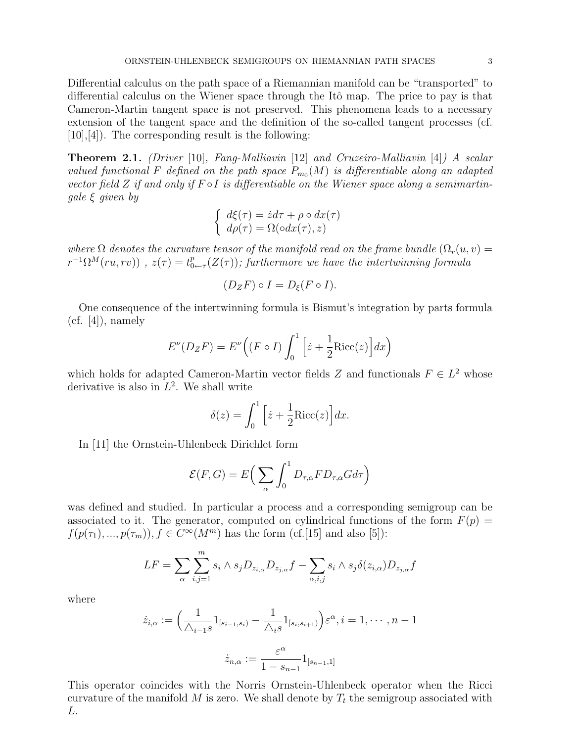Differential calculus on the path space of a Riemannian manifold can be "transported" to differential calculus on the Wiener space through the Itô map. The price to pay is that Cameron-Martin tangent space is not preserved. This phenomena leads to a necessary extension of the tangent space and the definition of the so-called tangent processes (cf. [10],[4]). The corresponding result is the following:

Theorem 2.1. (Driver [10], Fang-Malliavin [12] and Cruzeiro-Malliavin [4]) A scalar valued functional F defined on the path space  $P_{m_0}(M)$  is differentiable along an adapted vector field Z if and only if  $F \circ I$  is differentiable on the Wiener space along a semimartingale  $\xi$  given by

$$
\begin{cases} d\xi(\tau) = \dot{z}d\tau + \rho \circ dx(\tau) \\ d\rho(\tau) = \Omega(\circ dx(\tau), z) \end{cases}
$$

where  $\Omega$  denotes the curvature tensor of the manifold read on the frame bundle  $(\Omega_r(u, v) =$  $r^{-1} \Omega^M(ru, rv)$ ),  $z(\tau) = t_0^p$  $_{0 \leftarrow \tau}^{p}(Z(\tau))$ ; furthermore we have the intertwinning formula

$$
(D_{Z}F)\circ I = D_{\xi}(F\circ I).
$$

One consequence of the intertwinning formula is Bismut's integration by parts formula  $(cf. [4])$ , namely

$$
E^{\nu}(D_{Z}F) = E^{\nu}\left((F \circ I)\int_{0}^{1} \left[\dot{z} + \frac{1}{2}\text{Ricc}(z)\right]dx\right)
$$

which holds for adapted Cameron-Martin vector fields Z and functionals  $F \in L^2$  whose derivative is also in  $L^2$ . We shall write

$$
\delta(z) = \int_0^1 \left[ \dot{z} + \frac{1}{2} \text{Ricc}(z) \right] dx.
$$

In [11] the Ornstein-Uhlenbeck Dirichlet form

$$
\mathcal{E}(F,G) = E\Big(\sum_{\alpha} \int_0^1 D_{\tau,\alpha} F D_{\tau,\alpha} G d\tau\Big)
$$

was defined and studied. In particular a process and a corresponding semigroup can be associated to it. The generator, computed on cylindrical functions of the form  $F(p)$  =  $f(p(\tau_1),...,p(\tau_m)), f \in C^{\infty}(M^m)$  has the form (cf.[15] and also [5]):

$$
LF = \sum_{\alpha} \sum_{i,j=1}^{m} s_i \wedge s_j D_{z_i,\alpha} D_{z_j,\alpha} f - \sum_{\alpha,i,j} s_i \wedge s_j \delta(z_{i,\alpha}) D_{z_j,\alpha} f
$$

where

$$
\dot{z}_{i,\alpha} := \left(\frac{1}{\triangle_{i-1}s}1_{[s_{i-1},s_i)} - \frac{1}{\triangle_i s}1_{[s_i,s_{i+1})}\right)\varepsilon^{\alpha}, i = 1, \cdots, n-1
$$
  

$$
\dot{z}_{n,\alpha} := \frac{\varepsilon^{\alpha}}{1 - s_{n-1}}1_{[s_{n-1},1]}
$$

This operator coincides with the Norris Ornstein-Uhlenbeck operator when the Ricci curvature of the manifold M is zero. We shall denote by  $T_t$  the semigroup associated with L.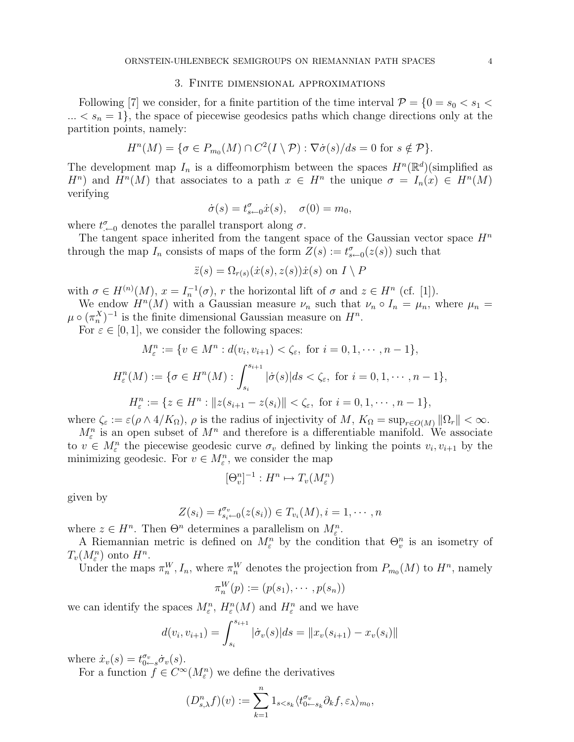#### 3. Finite dimensional approximations

Following [7] we consider, for a finite partition of the time interval  $\mathcal{P} = \{0 = s_0 < s_1 <$  $... < s_n = 1$ , the space of piecewise geodesics paths which change directions only at the partition points, namely:

$$
H^{n}(M) = \{ \sigma \in P_{m_0}(M) \cap C^2(I \setminus \mathcal{P}) : \nabla \dot{\sigma}(s)/ds = 0 \text{ for } s \notin \mathcal{P} \}.
$$

The development map  $I_n$  is a diffeomorphism between the spaces  $H^n(\mathbb{R}^d)$  (simplified as  $H^n$ ) and  $H^n(M)$  that associates to a path  $x \in H^n$  the unique  $\sigma = I_n(x) \in H^n(M)$ verifying

$$
\dot{\sigma}(s) = t_{s \leftarrow 0}^{\sigma} \dot{x}(s), \quad \sigma(0) = m_0,
$$

where  $t^{\sigma}_{\leftarrow 0}$  denotes the parallel transport along  $\sigma$ .

The tangent space inherited from the tangent space of the Gaussian vector space  $H^n$ through the map  $I_n$  consists of maps of the form  $Z(s) := t_{s \leftarrow 0}^{\sigma}(z(s))$  such that

$$
\ddot{z}(s) = \Omega_{r(s)}(\dot{x}(s), z(s))\dot{x}(s) \text{ on } I \setminus P
$$

with  $\sigma \in H^{(n)}(M)$ ,  $x = I_n^{-1}(\sigma)$ , r the horizontal lift of  $\sigma$  and  $z \in H^n$  (cf. [1]).

We endow  $H^{n}(M)$  with a Gaussian measure  $\nu_n$  such that  $\nu_n \circ I_n = \mu_n$ , where  $\mu_n =$  $\mu \circ (\pi_n^X)^{-1}$  is the finite dimensional Gaussian measure on  $H^n$ .

For  $\varepsilon \in [0, 1]$ , we consider the following spaces:

$$
M_{\varepsilon}^{n} := \{ v \in M^{n} : d(v_{i}, v_{i+1}) < \zeta_{\varepsilon}, \text{ for } i = 0, 1, \dots, n - 1 \},
$$
  

$$
H_{\varepsilon}^{n}(M) := \{ \sigma \in H^{n}(M) : \int_{s_{i}}^{s_{i+1}} |\dot{\sigma}(s)| ds < \zeta_{\varepsilon}, \text{ for } i = 0, 1, \dots, n - 1 \},
$$
  

$$
H_{\varepsilon}^{n} := \{ z \in H^{n} : ||z(s_{i+1} - z(s_{i})|| < \zeta_{\varepsilon}, \text{ for } i = 0, 1, \dots, n - 1 \},
$$

where  $\zeta_{\varepsilon} := \varepsilon(\rho \wedge 4/K_{\Omega}), \rho$  is the radius of injectivity of M,  $K_{\Omega} = \sup_{r \in O(M)} ||\Omega_r|| < \infty$ .

 $M_{\varepsilon}^{n}$  is an open subset of  $M^{n}$  and therefore is a differentiable manifold. We associate to  $v \in M_{\varepsilon}^n$  the piecewise geodesic curve  $\sigma_v$  defined by linking the points  $v_i, v_{i+1}$  by the minimizing geodesic. For  $v \in M_{\varepsilon}^{n}$ , we consider the map

$$
[\Theta_v^n]^{-1}: H^n \mapsto T_v(M^n_\varepsilon)
$$

given by

$$
Z(s_i) = t_{s_i \leftarrow 0}^{\sigma_v}(z(s_i)) \in T_{v_i}(M), i = 1, \cdots, n
$$

where  $z \in H^n$ . Then  $\Theta^n$  determines a parallelism on  $M_{\varepsilon}^n$ .

A Riemannian metric is defined on  $M_{\varepsilon}^n$  by the condition that  $\Theta_v^n$  is an isometry of  $T_v(M_{\varepsilon}^n)$  onto  $H^n$ .

Under the maps  $\pi_n^W$ ,  $I_n$ , where  $\pi_n^W$  denotes the projection from  $P_{m_0}(M)$  to  $H^n$ , namely

$$
\pi_n^W(p) := (p(s_1), \cdots, p(s_n))
$$

we can identify the spaces  $M_{\varepsilon}^n$ ,  $H_{\varepsilon}^n(M)$  and  $H_{\varepsilon}^n$  and we have

$$
d(v_i, v_{i+1}) = \int_{s_i}^{s_{i+1}} |\dot{\sigma}_v(s)| ds = ||x_v(s_{i+1}) - x_v(s_i)||
$$

where  $\dot{x}_v(s) = t_{0 \leftarrow s}^{\sigma_v} \dot{\sigma}_v(s)$ .

For a function  $f \in C^{\infty}(M_{\varepsilon}^n)$  we define the derivatives

$$
(D_{s,\lambda}^n f)(v) := \sum_{k=1}^n 1_{s
$$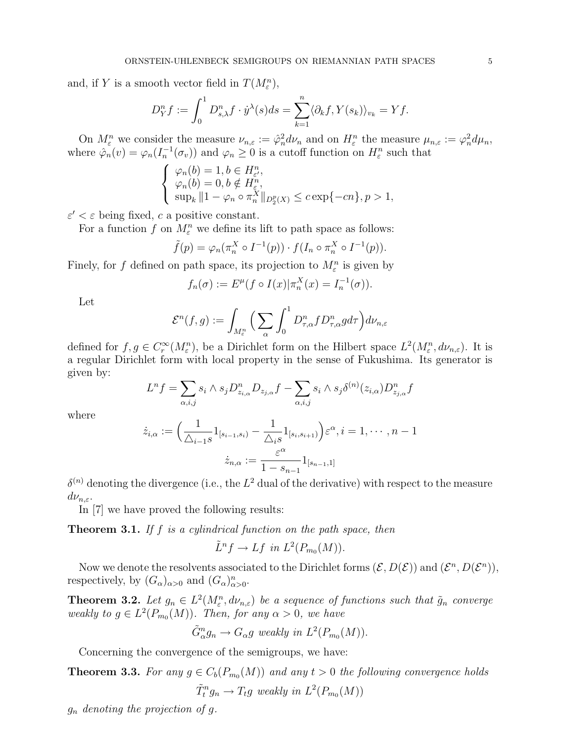and, if Y is a smooth vector field in  $T(M_{\varepsilon}^n)$ ,

$$
D_Y^n f := \int_0^1 D^n_{s,\lambda} f \cdot \dot{y}^{\lambda}(s) ds = \sum_{k=1}^n \langle \partial_k f, Y(s_k) \rangle_{v_k} = Yf.
$$

On  $M_{\varepsilon}^n$  we consider the measure  $\nu_{n,\varepsilon} := \hat{\varphi}_n^2 d\nu_n$  and on  $H_{\varepsilon}^n$  the measure  $\mu_{n,\varepsilon} := \varphi_n^2 d\mu_n$ , where  $\hat{\varphi}_n(v) = \varphi_n(I_n^{-1}(\sigma_v))$  and  $\varphi_n \geq 0$  is a cutoff function on  $H^n_{\varepsilon}$  such that  $\frac{n}{\epsilon}$ 

$$
\begin{cases}\n\varphi_n(b) = 1, b \in H_{\varepsilon}^n, \\
\varphi_n(b) = 0, b \notin H_{\varepsilon}^n, \\
\sup_k ||1 - \varphi_n \circ \pi_n^X||_{D_2^p(X)} \le c \exp\{-cn\}, p > 1,\n\end{cases}
$$

 $\varepsilon' < \varepsilon$  being fixed, c a positive constant.

For a function f on  $M_{\varepsilon}^n$  we define its lift to path space as follows:

$$
\tilde{f}(p) = \varphi_n(\pi_n^X \circ I^{-1}(p)) \cdot f(I_n \circ \pi_n^X \circ I^{-1}(p)).
$$

Finely, for f defined on path space, its projection to  $M_{\varepsilon}^{n}$  is given by

$$
f_n(\sigma) := E^{\mu}(f \circ I(x)|\pi_n^X(x) = I_n^{-1}(\sigma)).
$$

Let

$$
\mathcal{E}^n(f,g):=\int_{M^n_\varepsilon}\Big(\sum_{\alpha}\int_0^1D^n_{\tau,\alpha}fD^n_{\tau,\alpha}g d\tau\Big)d\nu_{n,\varepsilon}
$$

defined for  $f, g \in C_r^{\infty}(M_{\varepsilon}^n)$ , be a Dirichlet form on the Hilbert space  $L^2(M_{\varepsilon}^n, d\nu_{n,\varepsilon})$ . It is a regular Dirichlet form with local property in the sense of Fukushima. Its generator is given by:  $\overline{\phantom{a}}$  $\overline{\phantom{a}}$ 

$$
L^n f = \sum_{\alpha,i,j} s_i \wedge s_j D^n_{z_{i,\alpha}} D_{z_{j,\alpha}} f - \sum_{\alpha,i,j} s_i \wedge s_j \delta^{(n)}(z_{i,\alpha}) D^n_{z_{j,\alpha}} f
$$

where

$$
\dot{z}_{i,\alpha} := \left(\frac{1}{\triangle_{i-1}s}1_{[s_{i-1},s_i]} - \frac{1}{\triangle_{i}s}1_{[s_{i},s_{i+1})}\right)\varepsilon^{\alpha}, i = 1, \cdots, n-1
$$

$$
\dot{z}_{n,\alpha} := \frac{\varepsilon^{\alpha}}{1 - s_{n-1}}1_{[s_{n-1},1]}
$$

 $\delta^{(n)}$  denoting the divergence (i.e., the  $L^2$  dual of the derivative) with respect to the measure  $d\nu_{n,\varepsilon}$ .

In [7] we have proved the following results:

**Theorem 3.1.** If  $f$  is a cylindrical function on the path space, then

$$
\tilde{L}^n f \to Lf \text{ in } L^2(P_{m_0}(M)).
$$

Now we denote the resolvents associated to the Dirichlet forms  $(\mathcal{E}, D(\mathcal{E}))$  and  $(\mathcal{E}^n, D(\mathcal{E}^n))$ , respectively, by  $(G_{\alpha})_{\alpha>0}$  and  $(G_{\alpha})_{\alpha>0}^n$ .

**Theorem 3.2.** Let  $g_n \in L^2(M_\varepsilon^n, d\nu_{n,\varepsilon})$  be a sequence of functions such that  $\tilde{g}_n$  converge weakly to  $g \in L^2(P_{m_0}(M))$ . Then, for any  $\alpha > 0$ , we have

$$
\tilde{G}_{\alpha}^{n}g_{n} \to G_{\alpha}g
$$
 weakly in  $L^{2}(P_{m_{0}}(M)).$ 

Concerning the convergence of the semigroups, we have:

**Theorem 3.3.** For any  $g \in C_b(P_{m_0}(M))$  and any  $t > 0$  the following convergence holds  $\tilde{T}_t^n g_n \to T_t g$  weakly in  $L^2(P_{m_0}(M))$ 

 $g_n$  denoting the projection of g.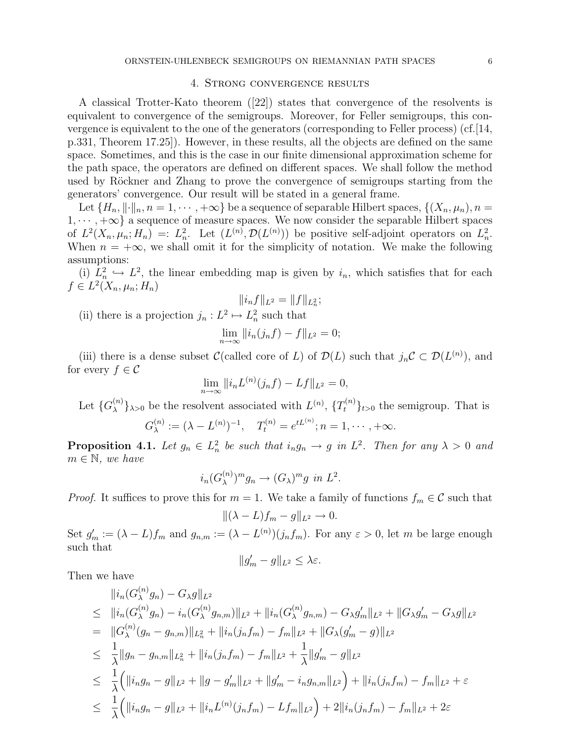#### 4. Strong convergence results

A classical Trotter-Kato theorem ([22]) states that convergence of the resolvents is equivalent to convergence of the semigroups. Moreover, for Feller semigroups, this convergence is equivalent to the one of the generators (corresponding to Feller process) (cf.  $[14,$ p.331, Theorem 17.25]). However, in these results, all the objects are defined on the same space. Sometimes, and this is the case in our finite dimensional approximation scheme for the path space, the operators are defined on different spaces. We shall follow the method used by Röckner and Zhang to prove the convergence of semigroups starting from the generators' convergence. Our result will be stated in a general frame.

Let  $\{H_n, \|\cdot\|_n, n = 1, \cdots, +\infty\}$  be a sequence of separable Hilbert spaces,  $\{(X_n, \mu_n), n =$  $1, \dots, +\infty$  a sequence of measure spaces. We now consider the separable Hilbert spaces of  $L^2(X_n,\mu_n;H_n) =: L^2_n$ . Let  $(L^{(n)},\mathcal{D}(L^{(n)}))$  be positive self-adjoint operators on  $L^2_n$ . When  $n = +\infty$ , we shall omit it for the simplicity of notation. We make the following assumptions:

(i)  $L_n^2 \hookrightarrow L^2$ , the linear embedding map is given by  $i_n$ , which satisfies that for each  $f \in L^2(X_n, \mu_n; H_n)$ 

$$
||i_n f||_{L^2} = ||f||_{L^2_n};
$$

(ii) there is a projection  $j_n : L^2 \mapsto L^2_n$  such that

$$
\lim_{n \to \infty} ||i_n(j_n f) - f||_{L^2} = 0;
$$

(iii) there is a dense subset C(called core of L) of  $\mathcal{D}(L)$  such that  $j_n C \subset \mathcal{D}(L^{(n)})$ , and for every  $f \in \mathcal{C}$ 

$$
\lim_{n \to \infty} ||i_n L^{(n)}(j_n f) - Lf||_{L^2} = 0,
$$

Let  $\{G_{\lambda}^{(n)}\}$  $\{\lambda^{(n)}\}_{\lambda>0}$  be the resolvent associated with  $L^{(n)}$ ,  $\{T_t^{(n)}\}_{t>0}$  the semigroup. That is

$$
G_{\lambda}^{(n)} := (\lambda - L^{(n)})^{-1}, \quad T_t^{(n)} = e^{tL^{(n)}}; n = 1, \cdots, +\infty.
$$

**Proposition 4.1.** Let  $g_n \in L_n^2$  be such that  $i_n g_n \to g$  in  $L^2$ . Then for any  $\lambda > 0$  and  $m \in \mathbb{N}$ , we have

$$
i_n(G_{\lambda}^{(n)})^m g_n \to (G_{\lambda})^m g \text{ in } L^2.
$$

*Proof.* It suffices to prove this for  $m = 1$ . We take a family of functions  $f_m \in \mathcal{C}$  such that

$$
\|(\lambda - L)f_m - g\|_{L^2} \to 0.
$$

Set  $g'_m := (\lambda - L)f_m$  and  $g_{n,m} := (\lambda - L^{(n)})(j_nf_m)$ . For any  $\varepsilon > 0$ , let m be large enough such that

$$
||g_m'-g||_{L^2}\leq \lambda \varepsilon.
$$

Then we have

$$
\|i_{n}(G_{\lambda}^{(n)}g_{n}) - G_{\lambda}g\|_{L^{2}}
$$
\n
$$
\leq \|i_{n}(G_{\lambda}^{(n)}g_{n}) - i_{n}(G_{\lambda}^{(n)}g_{n,m})\|_{L^{2}} + \|i_{n}(G_{\lambda}^{(n)}g_{n,m}) - G_{\lambda}g'_{m}\|_{L^{2}} + \|G_{\lambda}g'_{m} - G_{\lambda}g\|_{L^{2}}
$$
\n
$$
= \|G_{\lambda}^{(n)}(g_{n} - g_{n,m})\|_{L_{n}^{2}} + \|i_{n}(j_{n}f_{m}) - f_{m}\|_{L^{2}} + \|G_{\lambda}(g'_{m} - g)\|_{L^{2}}
$$
\n
$$
\leq \frac{1}{\lambda} \|g_{n} - g_{n,m}\|_{L_{n}^{2}} + \|i_{n}(j_{n}f_{m}) - f_{m}\|_{L^{2}} + \frac{1}{\lambda} \|g'_{m} - g\|_{L^{2}}
$$
\n
$$
\leq \frac{1}{\lambda} \Big( \|i_{n}g_{n} - g\|_{L^{2}} + \|g - g'_{m}\|_{L^{2}} + \|g'_{m} - i_{n}g_{n,m}\|_{L^{2}} \Big) + \|i_{n}(j_{n}f_{m}) - f_{m}\|_{L^{2}} + \varepsilon
$$
\n
$$
\leq \frac{1}{\lambda} \Big( \|i_{n}g_{n} - g\|_{L^{2}} + \|i_{n}L^{(n)}(j_{n}f_{m}) - Lf_{m}\|_{L^{2}} \Big) + 2\|i_{n}(j_{n}f_{m}) - f_{m}\|_{L^{2}} + 2\varepsilon
$$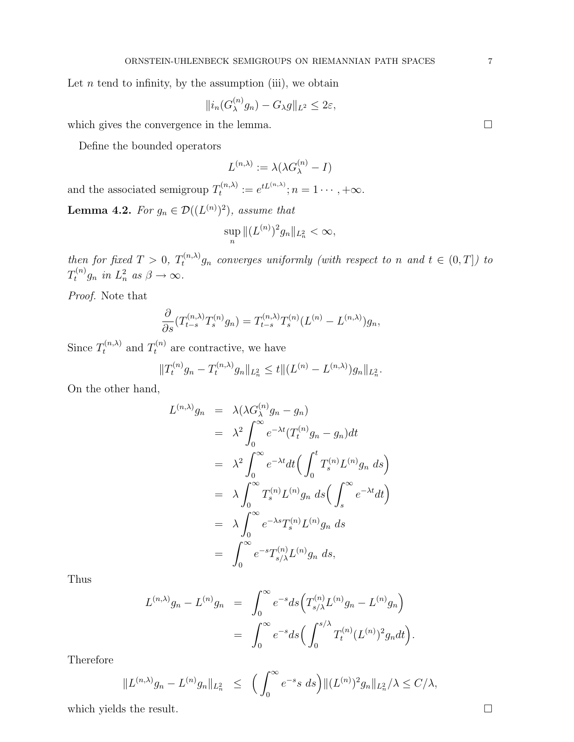Let  $n$  tend to infinity, by the assumption (iii), we obtain

$$
||i_n(G_{\lambda}^{(n)}g_n) - G_{\lambda}g||_{L^2} \leq 2\varepsilon,
$$

which gives the convergence in the lemma.  $\Box$ 

Define the bounded operators

$$
L^{(n,\lambda)} := \lambda(\lambda G_{\lambda}^{(n)} - I)
$$

and the associated semigroup  $T_t^{(n,\lambda)}$  $t_t^{(n,\lambda)} := e^{tL^{(n,\lambda)}}; n = 1 \cdots, +\infty.$ 

**Lemma 4.2.** For  $g_n \in \mathcal{D}((L^{(n)})^2)$ , assume that

$$
\sup_n \|(L^{(n)})^2 g_n\|_{L_n^2} < \infty,
$$

then for fixed  $T > 0$ ,  $T_t^{(n,\lambda)}$  g<sub>n</sub> converges uniformly (with respect to n and  $t \in (0,T]$ ) to  $T_t^{(n)}g_n$  in  $L_n^2$  as  $\beta \to \infty$ .

Proof. Note that

$$
\frac{\partial}{\partial s}(T_{t-s}^{(n,\lambda)}T_s^{(n)}g_n) = T_{t-s}^{(n,\lambda)}T_s^{(n)}(L^{(n)} - L^{(n,\lambda)})g_n,
$$

Since  $T_t^{(n,\lambda)}$  and  $T_t^{(n)}$  are contractive, we have

$$
||T_t^{(n)}g_n - T_t^{(n,\lambda)}g_n||_{L_n^2} \le t ||(L^{(n)} - L^{(n,\lambda)})g_n||_{L_n^2}.
$$

On the other hand,

$$
L^{(n,\lambda)}g_n = \lambda(\lambda G_{\lambda}^{(n)}g_n - g_n)
$$
  
\n
$$
= \lambda^2 \int_0^{\infty} e^{-\lambda t} (T_t^{(n)}g_n - g_n) dt
$$
  
\n
$$
= \lambda^2 \int_0^{\infty} e^{-\lambda t} dt \Big( \int_0^t T_s^{(n)} L^{(n)} g_n ds \Big)
$$
  
\n
$$
= \lambda \int_0^{\infty} T_s^{(n)} L^{(n)} g_n ds \Big( \int_s^{\infty} e^{-\lambda t} dt \Big)
$$
  
\n
$$
= \lambda \int_0^{\infty} e^{-\lambda s} T_s^{(n)} L^{(n)} g_n ds
$$
  
\n
$$
= \int_0^{\infty} e^{-s} T_{s/\lambda}^{(n)} L^{(n)} g_n ds,
$$

Thus

$$
L^{(n,\lambda)}g_n - L^{(n)}g_n = \int_0^\infty e^{-s}ds \Big( T^{(n)}_{s/\lambda} L^{(n)}g_n - L^{(n)}g_n \Big) = \int_0^\infty e^{-s}ds \Big( \int_0^{s/\lambda} T^{(n)}_t (L^{(n)})^2 g_n dt \Big).
$$

Therefore

$$
||L^{(n,\lambda)}g_n - L^{(n)}g_n||_{L^2_n} \le \left(\int_0^\infty e^{-s}s \, ds\right) ||(L^{(n)})^2 g_n||_{L^2_n}/\lambda \le C/\lambda,
$$

which yields the result.  $\Box$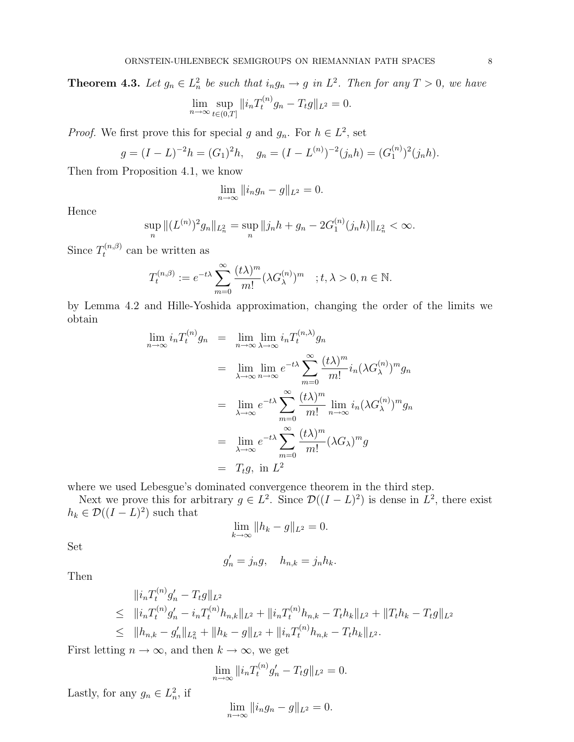**Theorem 4.3.** Let  $g_n \in L_n^2$  be such that  $i_n g_n \to g$  in  $L^2$ . Then for any  $T > 0$ , we have

$$
\lim_{n \to \infty} \sup_{t \in (0,T]} \| i_n T_t^{(n)} g_n - T_t g \|_{L^2} = 0.
$$

*Proof.* We first prove this for special g and  $g_n$ . For  $h \in L^2$ , set

$$
g = (I - L)^{-2}h = (G_1)^2h, \quad g_n = (I - L^{(n)})^{-2}(j_n h) = (G_1^{(n)})^2(j_n h).
$$

Then from Proposition 4.1, we know

$$
\lim_{n \to \infty} ||i_n g_n - g||_{L^2} = 0.
$$

Hence

$$
\sup_{n} \|(L^{(n)})^{2}g_{n}\|_{L_{n}^{2}} = \sup_{n} \|j_{n}h + g_{n} - 2G_{1}^{(n)}(j_{n}h)\|_{L_{n}^{2}} < \infty.
$$

Since  $T_t^{(n,\beta)}$  $t^{(n,\beta)}$  can be written as

$$
T_t^{(n,\beta)} := e^{-t\lambda} \sum_{m=0}^{\infty} \frac{(t\lambda)^m}{m!} (\lambda G_{\lambda}^{(n)})^m \quad ; t, \lambda > 0, n \in \mathbb{N}.
$$

by Lemma 4.2 and Hille-Yoshida approximation, changing the order of the limits we obtain

$$
\lim_{n \to \infty} i_n T_t^{(n)} g_n = \lim_{n \to \infty} \lim_{\lambda \to \infty} i_n T_t^{(n,\lambda)} g_n
$$
  
\n
$$
= \lim_{\lambda \to \infty} \lim_{n \to \infty} e^{-t\lambda} \sum_{m=0}^{\infty} \frac{(t\lambda)^m}{m!} i_n (\lambda G_{\lambda}^{(n)})^m g_n
$$
  
\n
$$
= \lim_{\lambda \to \infty} e^{-t\lambda} \sum_{m=0}^{\infty} \frac{(t\lambda)^m}{m!} \lim_{n \to \infty} i_n (\lambda G_{\lambda}^{(n)})^m g_n
$$
  
\n
$$
= \lim_{\lambda \to \infty} e^{-t\lambda} \sum_{m=0}^{\infty} \frac{(t\lambda)^m}{m!} (\lambda G_{\lambda})^m g
$$
  
\n
$$
= T_t g, \text{ in } L^2
$$

where we used Lebesgue's dominated convergence theorem in the third step.

Next we prove this for arbitrary  $g \in L^2$ . Since  $\mathcal{D}((I-L)^2)$  is dense in  $L^2$ , there exist  $h_k \in \mathcal{D}((I-L)^2)$  such that

$$
\lim_{k \to \infty} \|h_k - g\|_{L^2} = 0.
$$

Set

$$
g_n' = j_n g, \quad h_{n,k} = j_n h_k.
$$

Then

$$
\|i_n T_t^{(n)} g'_n - T_t g\|_{L^2}
$$
  
\n
$$
\leq \|i_n T_t^{(n)} g'_n - i_n T_t^{(n)} h_{n,k}\|_{L^2} + \|i_n T_t^{(n)} h_{n,k} - T_t h_k\|_{L^2} + \|T_t h_k - T_t g\|_{L^2}
$$
  
\n
$$
\leq \|h_{n,k} - g'_n\|_{L^2_n} + \|h_k - g\|_{L^2} + \|i_n T_t^{(n)} h_{n,k} - T_t h_k\|_{L^2}.
$$

First letting  $n \to \infty$ , and then  $k \to \infty$ , we get

$$
\lim_{n \to \infty} ||i_n T_t^{(n)} g'_n - T_t g||_{L^2} = 0.
$$

Lastly, for any  $g_n \in L^2_n$ , if

$$
\lim_{n\to\infty}||i_ng_n-g||_{L^2}=0.
$$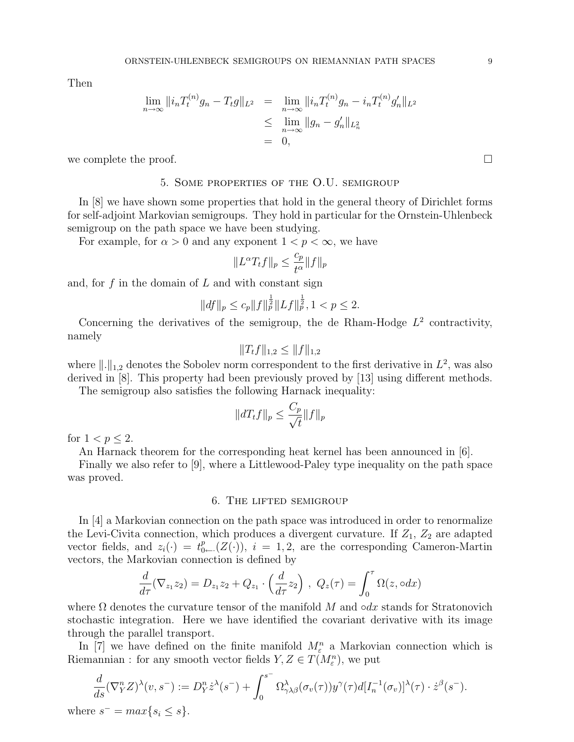Then

$$
\lim_{n \to \infty} ||i_n T_t^{(n)} g_n - T_t g||_{L^2} = \lim_{n \to \infty} ||i_n T_t^{(n)} g_n - i_n T_t^{(n)} g'_n||_{L^2}
$$
  
\n
$$
\leq \lim_{n \to \infty} ||g_n - g'_n||_{L^2_n}
$$
  
\n
$$
= 0,
$$

we complete the proof.  $\Box$ 

# 5. Some properties of the O.U. semigroup

In [8] we have shown some properties that hold in the general theory of Dirichlet forms for self-adjoint Markovian semigroups. They hold in particular for the Ornstein-Uhlenbeck semigroup on the path space we have been studying.

For example, for  $\alpha > 0$  and any exponent  $1 < p < \infty$ , we have

$$
||L^{\alpha}T_t f||_p \le \frac{c_p}{t^{\alpha}} ||f||_p
$$

and, for  $f$  in the domain of  $L$  and with constant sign

$$
||df||_p \le c_p ||f||_p^{\frac{1}{2}} ||Lf||_p^{\frac{1}{2}}, 1 < p \le 2.
$$

Concerning the derivatives of the semigroup, the de Rham-Hodge  $L^2$  contractivity, namely

$$
||T_t f||_{1,2} \leq ||f||_{1,2}
$$

where  $\|\cdot\|_{1,2}$  denotes the Sobolev norm correspondent to the first derivative in  $L^2$ , was also derived in [8]. This property had been previously proved by [13] using different methods.

The semigroup also satisfies the following Harnack inequality:

$$
||dT_t f||_p \le \frac{C_p}{\sqrt{t}} ||f||_p
$$

for  $1 < p \leq 2$ .

An Harnack theorem for the corresponding heat kernel has been announced in [6].

Finally we also refer to [9], where a Littlewood-Paley type inequality on the path space was proved.

# 6. The lifted semigroup

In [4] a Markovian connection on the path space was introduced in order to renormalize the Levi-Civita connection, which produces a divergent curvature. If  $Z_1$ ,  $Z_2$  are adapted vector fields, and  $z_i(\cdot) = t_{0-}^p(Z(\cdot))$ ,  $i = 1, 2$ , are the corresponding Cameron-Martin vectors, the Markovian connection is defined by

$$
\frac{d}{d\tau}(\nabla_{z_1}z_2) = D_{z_1}z_2 + Q_{z_1} \cdot \left(\frac{d}{d\tau}z_2\right), \ Q_z(\tau) = \int_0^\tau \Omega(z, \circ dx)
$$

where  $\Omega$  denotes the curvature tensor of the manifold M and ∘dx stands for Stratonovich stochastic integration. Here we have identified the covariant derivative with its image through the parallel transport.

In [7] we have defined on the finite manifold  $M_{\varepsilon}^n$  a Markovian connection which is Riemannian : for any smooth vector fields  $Y, Z \in T(M_{\varepsilon}^n)$ , we put

$$
\frac{d}{ds}(\nabla_Y^n Z)^\lambda(v, s^-) := D_Y^n \dot{z}^\lambda(s^-) + \int_0^{s^-} \Omega_{\gamma\lambda\beta}^\lambda(\sigma_v(\tau)) y^\gamma(\tau) d[I_n^{-1}(\sigma_v)]^\lambda(\tau) \cdot \dot{z}^\beta(s^-).
$$
  
where  $s^- = \max\{s_i \le s\}.$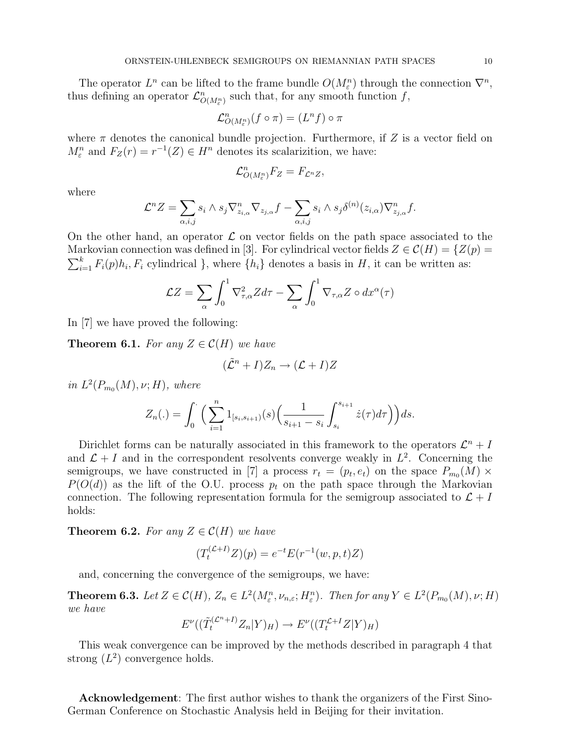The operator  $L^n$  can be lifted to the frame bundle  $O(M_{\varepsilon}^n)$  through the connection  $\nabla^n$ , thus defining an operator  $\mathcal{L}_{O(M_{\varepsilon}^{n})}^{n}$  such that, for any smooth function f,

$$
\mathcal{L}^{n}_{O(M_{\varepsilon}^{n})}(f\circ\pi)=(L^{n}f)\circ\pi
$$

where  $\pi$  denotes the canonical bundle projection. Furthermore, if Z is a vector field on  $M_{\varepsilon}^{n}$  and  $F_Z(r) = r^{-1}(Z) \in H^{n}$  denotes its scalarizition, we have:

$$
\mathcal{L}_{O(M_{\varepsilon}^{n})}^{n}F_{Z}=F_{\mathcal{L}^{n}Z},
$$

where

$$
\mathcal{L}^n Z = \sum_{\alpha,i,j} s_i \wedge s_j \nabla_{z_{i,\alpha}}^n \nabla_{z_{j,\alpha}} f - \sum_{\alpha,i,j} s_i \wedge s_j \delta^{(n)}(z_{i,\alpha}) \nabla_{z_{j,\alpha}}^n f.
$$

On the other hand, an operator  $\mathcal L$  on vector fields on the path space associated to the Markovian connection was defined in [3]. For cylindrical vector fields  $Z \in \mathcal{C}(H) = \{Z(p) =$  $\frac{N}{k}$  $\sum_{i=1}^{k} F_i(p) h_i, F_i$  cylindrical }, where  $\{h_i\}$  denotes a basis in H, it can be written as:

$$
\mathcal{L}Z = \sum_{\alpha} \int_0^1 \nabla^2_{\tau,\alpha} Z d\tau - \sum_{\alpha} \int_0^1 \nabla_{\tau,\alpha} Z \circ dx^{\alpha}(\tau)
$$

In [7] we have proved the following:

**Theorem 6.1.** For any  $Z \in \mathcal{C}(H)$  we have

$$
(\tilde{\mathcal{L}}^n + I)Z_n \to (\mathcal{L} + I)Z
$$

in  $L^2(P_{m_0}(M), \nu; H)$ , where

$$
Z_n(.) = \int_0^{\cdot} \Big( \sum_{i=1}^n 1_{[s_i, s_{i+1})}(s) \Big( \frac{1}{s_{i+1} - s_i} \int_{s_i}^{s_{i+1}} \dot{z}(\tau) d\tau \Big) \Big) ds.
$$

Dirichlet forms can be naturally associated in this framework to the operators  $\mathcal{L}^n + I$ and  $\mathcal{L} + I$  and in the correspondent resolvents converge weakly in  $L^2$ . Concerning the semigroups, we have constructed in [7] a process  $r_t = (p_t, e_t)$  on the space  $P_{m_0}(M) \times$  $P(O(d))$  as the lift of the O.U. process  $p_t$  on the path space through the Markovian connection. The following representation formula for the semigroup associated to  $\mathcal{L} + I$ holds:

**Theorem 6.2.** For any  $Z \in \mathcal{C}(H)$  we have

$$
(T_t^{(\mathcal{L}+I)}Z)(p) = e^{-t}E(r^{-1}(w,p,t)Z)
$$

and, concerning the convergence of the semigroups, we have:

**Theorem 6.3.** Let  $Z \in \mathcal{C}(H)$ ,  $Z_n \in L^2(M^n_\varepsilon, \nu_{n,\varepsilon}; H^n_\varepsilon)$ . Then for any  $Y \in L^2(P_{m_0}(M), \nu; H)$ we have

$$
E^{\nu}((\tilde{T}_t^{(\mathcal{L}^{n+I})}Z_n|Y)_H) \to E^{\nu}((T_t^{\mathcal{L}+I}Z|Y)_H)
$$

This weak convergence can be improved by the methods described in paragraph 4 that strong  $(L^2)$  convergence holds.

Acknowledgement: The first author wishes to thank the organizers of the First Sino-German Conference on Stochastic Analysis held in Beijing for their invitation.